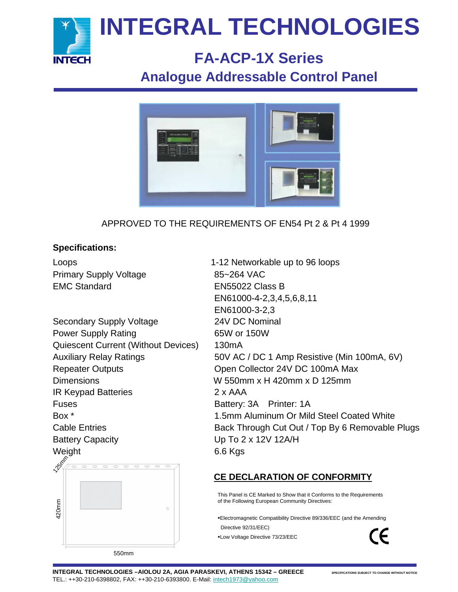

## **FA-ACP-1X Series Analogue Addressable Control Panel**



## APPROVED TO THE REQUIREMENTS OF EN54 Pt 2 & Pt 4 1999

### **Specifications:**

Primary Supply Voltage 85~264 VAC EMC Standard EN55022 Class B

Secondary Supply Voltage 24V DC Nominal Power Supply Rating 65W or 150W Quiescent Current (Without Devices) 130mA Dimensions W 550mm x H 420mm x D 125mm IR Keypad Batteries 2 x AAA Fuses **Battery: 3A** Printer: 1A Battery Capacity Up To 2 x 12V 12A/H Weight 6.6 Kgs **125mm** 

Loops 1-12 Networkable up to 96 loops EN61000-4-2,3,4,5,6,8,11 EN61000-3-2,3 Auxiliary Relay Ratings 50V AC / DC 1 Amp Resistive (Min 100mA, 6V) Repeater Outputs **COLLECT COLLECT COLLECT A** Open Collector 24V DC 100mA Max Box \* 1.5mm Aluminum Or Mild Steel Coated White Cable Entries **Back Through Cut Out / Top By 6 Removable Plugs** 

## **CE DECLARATION OF CONFORMITY**

This Panel is CE Marked to Show that it Conforms to the Requirements of the Following European Community Directives:

Electromagnetic Compatibility Directive 89/336/EEC (and the Amending Directive 92/31/EEC)

Low Voltage Directive 73/23/EEC

 $\epsilon$ 

550mm

420mm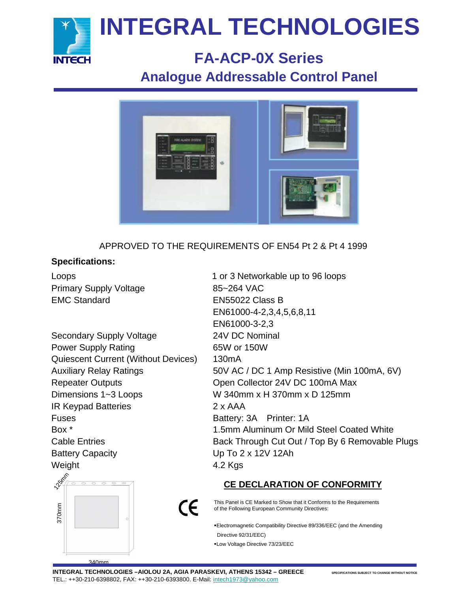

## **FA-ACP-0X Series Analogue Addressable Control Panel**



APPROVED TO THE REQUIREMENTS OF EN54 Pt 2 & Pt 4 1999

## **Specifications:**

Primary Supply Voltage 85~264 VAC EMC Standard EN55022 Class B

Secondary Supply Voltage 24V DC Nominal Power Supply Rating 65W or 150W Quiescent Current (Without Devices) 130mA Repeater Outputs **COLLECT COLLECT COLLECT A** Open Collector 24V DC 100mA Max Dimensions 1~3 Loops W 340mm x H 370mm x D 125mm IR Keypad Batteries 2 x AAA Fuses **Battery: 3A** Printer: 1A Battery Capacity **Example 2** Up To 2 x 12V 12Ah Weight 4.2 Kgs



Loops 1 or 3 Networkable up to 96 loops EN61000-4-2,3,4,5,6,8,11 EN61000-3-2,3 Auxiliary Relay Ratings 50V AC / DC 1 Amp Resistive (Min 100mA, 6V) Box \* 1.5mm Aluminum Or Mild Steel Coated White Cable Entries **Back Through Cut Out / Top By 6 Removable Plugs** 

## **CE DECLARATION OF CONFORMITY**

This Panel is CE Marked to Show that it Conforms to the Requirements of the Following European Community Directives:

- Electromagnetic Compatibility Directive 89/336/EEC (and the Amending Directive 92/31/EEC)
- Low Voltage Directive 73/23/EEC

 $\epsilon$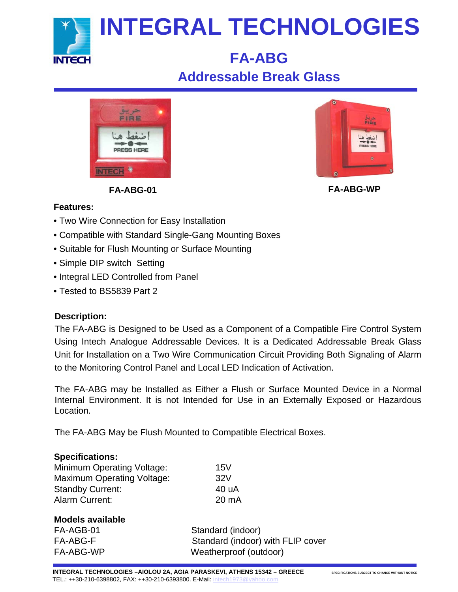

## **FA-ABG Addressable Break Glass**





**FA-ABG-01 FA-ABG-WP**

## **Features:**

- Two Wire Connection for Easy Installation
- Compatible with Standard Single-Gang Mounting Boxes
- Suitable for Flush Mounting or Surface Mounting
- Simple DIP switch Setting
- Integral LED Controlled from Panel
- Tested to BS5839 Part 2

## **Description:**

The FA-ABG is Designed to be Used as a Component of a Compatible Fire Control System Using Intech Analogue Addressable Devices. It is a Dedicated Addressable Break Glass Unit for Installation on a Two Wire Communication Circuit Providing Both Signaling of Alarm to the Monitoring Control Panel and Local LED Indication of Activation.

The FA-ABG may be Installed as Either a Flush or Surface Mounted Device in a Normal Internal Environment. It is not Intended for Use in an Externally Exposed or Hazardous Location.

The FA-ABG May be Flush Mounted to Compatible Electrical Boxes.

### **Specifications:**

Minimum Operating Voltage: 15V Maximum Operating Voltage: 32V Standby Current: 40 uA Alarm Current: 20 mA

### **Models available**

FA-AGB-01 Standard (indoor) FA-ABG-F Standard (indoor) with FLIP cover FA-ABG-WP Weatherproof (outdoor)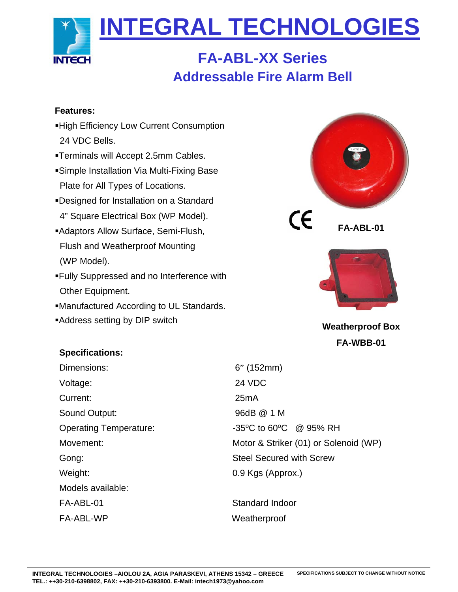

## **FA-ABL-XX Series Addressable Fire Alarm Bell**

### **Features:**

- High Efficiency Low Current Consumption 24 VDC Bells.
- Terminals will Accept 2.5mm Cables.
- Simple Installation Via Multi-Fixing Base Plate for All Types of Locations.
- Designed for Installation on a Standard 4" Square Electrical Box (WP Model).
- Adaptors Allow Surface, Semi-Flush, Flush and Weatherproof Mounting (WP Model).
- Fully Suppressed and no Interference with Other Equipment.
- Manufactured According to UL Standards.
- Address setting by DIP switch





**Weatherproof Box FA-WBB-01**

## **Specifications:**

Dimensions: 6" (152mm) Voltage: 24 VDC Current: 25mA Sound Output: 96dB @ 1 M Weight: 0.9 Kgs (Approx.) Models available: FA-ABL-01 Standard Indoor FA-ABL-WP Weatherproof

Operating Temperature:  $-35^{\circ}$ C to 60°C @ 95% RH Movement: Motor & Striker (01) or Solenoid (WP) Gong: Gong: Steel Secured with Screw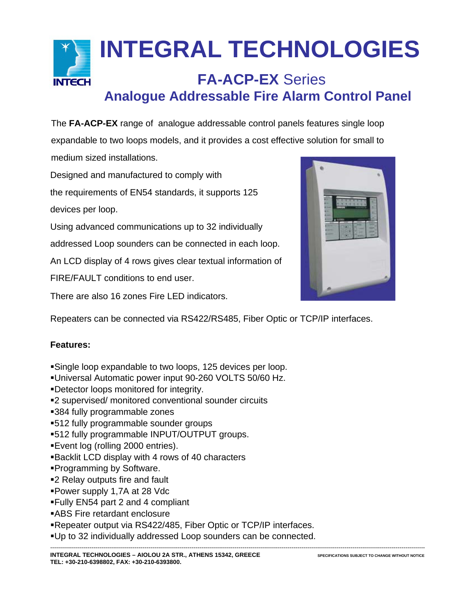

The **FA-ACP-EX** range of analogue addressable control panels features single loop expandable to two loops models, and it provides a cost effective solution for small to

medium sized installations.

Designed and manufactured to comply with

the requirements of EN54 standards, it supports 125

devices per loop.

Using advanced communications up to 32 individually

addressed Loop sounders can be connected in each loop.

An LCD display of 4 rows gives clear textual information of

FIRE/FAULT conditions to end user.

There are also 16 zones Fire LED indicators.



Repeaters can be connected via RS422/RS485, Fiber Optic or TCP/IP interfaces.

#### **Features:**

- Single loop expandable to two loops, 125 devices per loop.
- Universal Automatic power input 90-260 VOLTS 50/60 Hz.
- Detector loops monitored for integrity.
- 2 supervised/ monitored conventional sounder circuits
- 384 fully programmable zones
- 512 fully programmable sounder groups
- 512 fully programmable INPUT/OUTPUT groups.
- Event log (rolling 2000 entries).
- Backlit LCD display with 4 rows of 40 characters
- Programming by Software.
- ■2 Relay outputs fire and fault
- Power supply 1,7A at 28 Vdc
- Fully EN54 part 2 and 4 compliant
- ABS Fire retardant enclosure
- Repeater output via RS422/485, Fiber Optic or TCP/IP interfaces.
- Up to 32 individually addressed Loop sounders can be connected.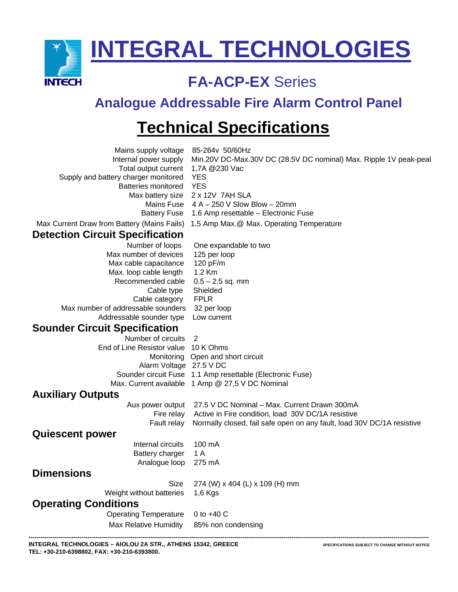

## **FA-ACP-EX** Series

## **Analogue Addressable Fire Alarm Control Panel**

## **Technical Specifications**

| Mains supply voltage                        | 85-264v 50/60Hz                                                        |
|---------------------------------------------|------------------------------------------------------------------------|
| Internal power supply                       | Min.20V DC-Max.30V DC (28.5V DC nominal) Max. Ripple 1V peak-pea       |
| Total output current                        | 1,7A @230 Vac                                                          |
| Supply and battery charger monitored        | <b>YES</b>                                                             |
| Batteries monitored                         | <b>YES</b>                                                             |
| Max battery size                            | 2 x 12V 7AH SLA                                                        |
| Mains Fuse                                  | $4 A - 250 V$ Slow Blow $-20$ mm                                       |
| <b>Battery Fuse</b>                         | 1.6 Amp resettable - Electronic Fuse                                   |
| Max Current Draw from Battery (Mains Fails) | 1.5 Amp Max.@ Max. Operating Temperature                               |
| <b>Detection Circuit Specification</b>      |                                                                        |
| Number of loops                             | One expandable to two                                                  |
| Max number of devices                       | 125 per loop                                                           |
| Max cable capacitance                       | 120 pF/m                                                               |
| Max. loop cable length                      | 1.2 Km                                                                 |
| Recommended cable                           | $0.5 - 2.5$ sq. mm                                                     |
| Cable type                                  | Shielded                                                               |
| Cable category                              | <b>FPLR</b>                                                            |
| Max number of addressable sounders          | 32 per loop                                                            |
| Addressable sounder type                    | Low current                                                            |
| <b>Sounder Circuit Specification</b>        |                                                                        |
| Number of circuits                          | 2                                                                      |
| End of Line Resistor value                  | 10 K Ohms                                                              |
| Monitoring                                  | Open and short circuit                                                 |
| Alarm Voltage 27.5 V DC                     |                                                                        |
|                                             | Sounder circuit Fuse 1.1 Amp resettable (Electronic Fuse)              |
| Max. Current available                      | 1 Amp @ 27,5 V DC Nominal                                              |
| <b>Auxiliary Outputs</b>                    |                                                                        |
| Aux power output                            | 27.5 V DC Nominal - Max. Current Drawn 300mA                           |
| Fire relay                                  | Active in Fire condition, load 30V DC/1A resistive                     |
| Fault relay                                 | Normally closed, fail safe open on any fault, load 30V DC/1A resistive |
| <b>Quiescent power</b>                      |                                                                        |
| Internal circuits                           | 100 mA                                                                 |
| Battery charger                             | 1 A                                                                    |
| Analogue loop                               | 275 mA                                                                 |
| <b>Dimensions</b>                           |                                                                        |
| Size                                        | 274 (W) x 404 (L) x 109 (H) mm                                         |
| Weight without batteries                    | $1,6$ Kgs                                                              |
| <b>Operating Conditions</b>                 |                                                                        |
| <b>Operating Temperature</b>                | 0 to $+40$ C                                                           |
| <b>Max Relative Humidity</b>                | 85% non condensing                                                     |
|                                             |                                                                        |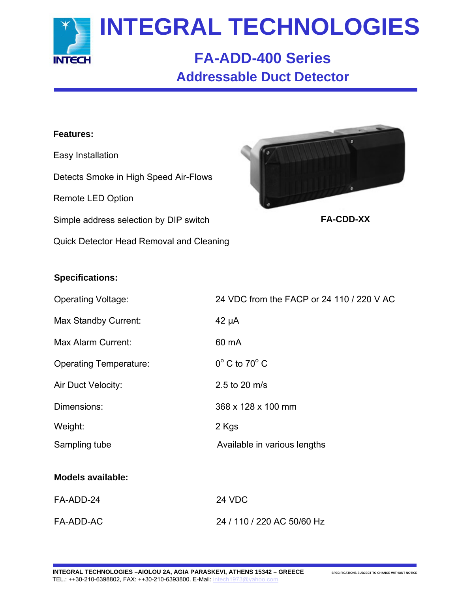

## **FA-ADD-400 Series Addressable Duct Detector**

### **Features:**

Easy Installation Detects Smoke in High Speed Air-Flows Remote LED Option Simple address selection by DIP switch Quick Detector Head Removal and Cleaning



**FA-CDD-XX**

#### **Specifications:**

| <b>Operating Voltage:</b>     | 24 VDC from the FACP or 24 110 / 220 V AC |
|-------------------------------|-------------------------------------------|
| Max Standby Current:          | $42 \mu A$                                |
| Max Alarm Current:            | 60 mA                                     |
| <b>Operating Temperature:</b> | $0^{\circ}$ C to 70 $^{\circ}$ C          |
| Air Duct Velocity:            | 2.5 to 20 m/s                             |
| Dimensions:                   | 368 x 128 x 100 mm                        |
| Weight:                       | 2 Kgs                                     |
| Sampling tube                 | Available in various lengths              |
| <b>Models available:</b>      |                                           |
| FA-ADD-24                     | 24 VDC                                    |
| FA-ADD-AC                     | 24 / 110 / 220 AC 50/60 Hz                |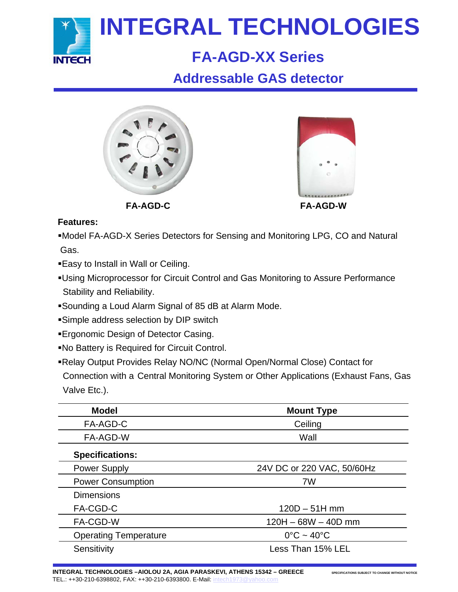

## **FA-AGD-XX Series**

## **Addressable GAS detector**



**FA-AGD-C FA-AGD-W**

## **Features:**

Model FA-AGD-X Series Detectors for Sensing and Monitoring LPG, CO and Natural Gas.

- Easy to Install in Wall or Ceiling.
- Using Microprocessor for Circuit Control and Gas Monitoring to Assure Performance Stability and Reliability.
- Sounding a Loud Alarm Signal of 85 dB at Alarm Mode.
- Simple address selection by DIP switch
- **Ergonomic Design of Detector Casing.**
- No Battery is Required for Circuit Control.
- Relay Output Provides Relay NO/NC (Normal Open/Normal Close) Contact for Connection with a Central Monitoring System or Other Applications (Exhaust Fans, Gas Valve Etc.).

| <b>Model</b>                 | <b>Mount Type</b>               |
|------------------------------|---------------------------------|
| FA-AGD-C                     | Ceiling                         |
| FA-AGD-W                     | Wall                            |
| <b>Specifications:</b>       |                                 |
| <b>Power Supply</b>          | 24V DC or 220 VAC, 50/60Hz      |
| <b>Power Consumption</b>     | 7W                              |
| <b>Dimensions</b>            |                                 |
| FA-CGD-C                     | $120D - 51H$ mm                 |
| FA-CGD-W                     | $120H - 68W - 40D$ mm           |
| <b>Operating Temperature</b> | $0^{\circ}$ C ~ 40 $^{\circ}$ C |
| Sensitivity                  | Less Than 15% LEL               |

**INTEGRAL TECHNOLOGIES –AIOLOU 2A, AGIA PARASKEVI, ATHENS 15342 – GREECE** SPECIFICATIONS SUBJECT TO CHANGE WITHOUT NOTICE TEL.: ++30-210-6398802, FAX: ++30-210-6393800. E-Mail: [intech1973@yahoo.com](mailto:intech1973@yahoo.com)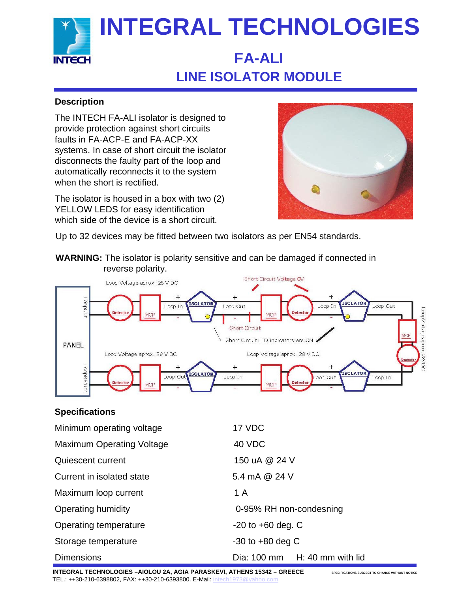

## **FA-ALI LINE ISOLATOR MODULE**

## **Description**

The INTECH FA-ALI isolator is designed to provide protection against short circuits faults in FA-ACP-E and FA-ACP-XX systems. In case of short circuit the isolator disconnects the faulty part of the loop and automatically reconnects it to the system when the short is rectified.

The isolator is housed in a box with two (2) YELLOW LEDS for easy identification which side of the device is a short circuit.



Up to 32 devices may be fitted between two isolators as per EN54 standards.





## **Specifications**

| Minimum operating voltage        | 17 VDC                        |
|----------------------------------|-------------------------------|
| <b>Maximum Operating Voltage</b> | 40 VDC                        |
| Quiescent current                | 150 uA @ 24 V                 |
| Current in isolated state        | 5.4 mA @ 24 V                 |
| Maximum loop current             | 1 A                           |
| Operating humidity               | 0-95% RH non-condesning       |
| Operating temperature            | $-20$ to $+60$ deg. C         |
| Storage temperature              | $-30$ to $+80$ deg C          |
| <b>Dimensions</b>                | Dia: 100 mm H: 40 mm with lid |

**INTEGRAL TECHNOLOGIES –AIOLOU 2A, AGIA PARASKEVI, ATHENS 15342 – GREECE** SPECIFICATIONS SUBJECT TO CHANGE WITHOUT NOTICE TEL.: ++30-210-6398802, FAX: ++30-210-6393800. E-Mail: [intech1973@yahoo.com](mailto:intech1973@yahoo.com)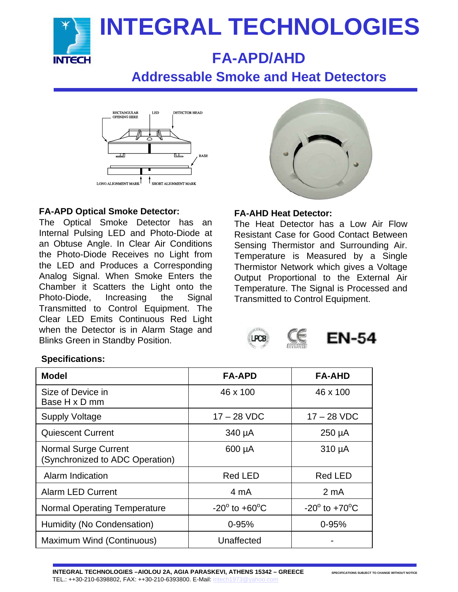

## **FA-APD/AHD**

## **Addressable Smoke and Heat Detectors**



#### **FA-APD Optical Smoke Detector:**

The Optical Smoke Detector has an Internal Pulsing LED and Photo-Diode at an Obtuse Angle. In Clear Air Conditions the Photo-Diode Receives no Light from the LED and Produces a Corresponding Analog Signal. When Smoke Enters the Chamber it Scatters the Light onto the Photo-Diode, Increasing the Signal Transmitted to Control Equipment. The Clear LED Emits Continuous Red Light when the Detector is in Alarm Stage and Blinks Green in Standby Position.



#### **FA-AHD Heat Detector:**

The Heat Detector has a Low Air Flow Resistant Case for Good Contact Between Sensing Thermistor and Surrounding Air. Temperature is Measured by a Single Thermistor Network which gives a Voltage Output Proportional to the External Air Temperature. The Signal is Processed and Transmitted to Control Equipment.

**EN-54** 

#### **Specifications:**

| <b>Model</b>                                                   | <b>FA-APD</b>                | <b>FA-AHD</b>                    |
|----------------------------------------------------------------|------------------------------|----------------------------------|
| Size of Device in<br>Base H x D mm                             | 46 x 100                     | 46 x 100                         |
| <b>Supply Voltage</b>                                          | $17 - 28$ VDC                | $17 - 28$ VDC                    |
| <b>Quiescent Current</b>                                       | 340 µA                       | $250 \mu A$                      |
| <b>Normal Surge Current</b><br>(Synchronized to ADC Operation) | 600 µA                       | $310 \mu A$                      |
| Alarm Indication                                               | <b>Red LED</b>               | <b>Red LED</b>                   |
| <b>Alarm LED Current</b>                                       | 4 mA                         | 2 mA                             |
| <b>Normal Operating Temperature</b>                            | $-20^\circ$ to $+60^\circ$ C | $-20^{\circ}$ to $+70^{\circ}$ C |
| Humidity (No Condensation)                                     | $0 - 95%$                    | $0 - 95%$                        |
| Maximum Wind (Continuous)                                      | Unaffected                   |                                  |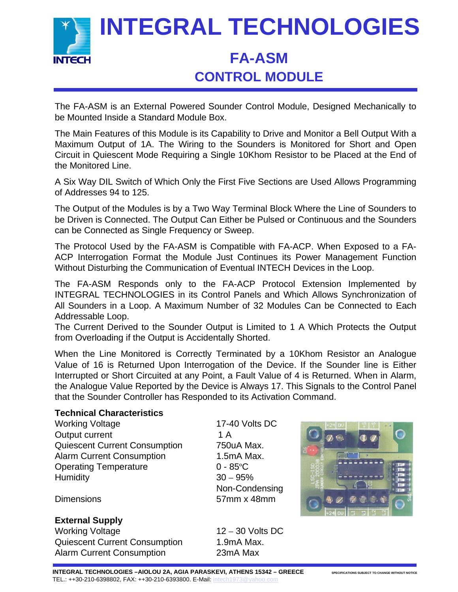

## **CONTROL MODULE**

The FA-ASM is an External Powered Sounder Control Module, Designed Mechanically to be Mounted Inside a Standard Module Box.

The Main Features of this Module is its Capability to Drive and Monitor a Bell Output With a Maximum Output of 1A. The Wiring to the Sounders is Monitored for Short and Open Circuit in Quiescent Mode Requiring a Single 10Khom Resistor to be Placed at the End of the Monitored Line.

A Six Way DIL Switch of Which Only the First Five Sections are Used Allows Programming of Addresses 94 to 125.

The Output of the Modules is by a Two Way Terminal Block Where the Line of Sounders to be Driven is Connected. The Output Can Either be Pulsed or Continuous and the Sounders can be Connected as Single Frequency or Sweep.

The Protocol Used by the FA-ASM is Compatible with FA-ACP. When Exposed to a FA-ACP Interrogation Format the Module Just Continues its Power Management Function Without Disturbing the Communication of Eventual INTECH Devices in the Loop.

The FA-ASM Responds only to the FA-ACP Protocol Extension Implemented by INTEGRAL TECHNOLOGIES in its Control Panels and Which Allows Synchronization of All Sounders in a Loop. A Maximum Number of 32 Modules Can be Connected to Each Addressable Loop.

The Current Derived to the Sounder Output is Limited to 1 A Which Protects the Output from Overloading if the Output is Accidentally Shorted.

When the Line Monitored is Correctly Terminated by a 10Khom Resistor an Analogue Value of 16 is Returned Upon Interrogation of the Device. If the Sounder line is Either Interrupted or Short Circuited at any Point, a Fault Value of 4 is Returned. When in Alarm, the Analogue Value Reported by the Device is Always 17. This Signals to the Control Panel that the Sounder Controller has Responded to its Activation Command.

#### **Technical Characteristics**

Working Voltage 17-40 Volts DC Output current 1 A Quiescent Current Consumption 750uA Max. Alarm Current Consumption 1.5mA Max. Operating Temperature 0 - 85°C Humidity 30 – 95%

Non-Condensing Dimensions 57mm x 48mm



#### **External Supply**

Working Voltage 12 – 30 Volts DC Quiescent Current Consumption 1.9mA Max. Alarm Current Consumption 23mA Max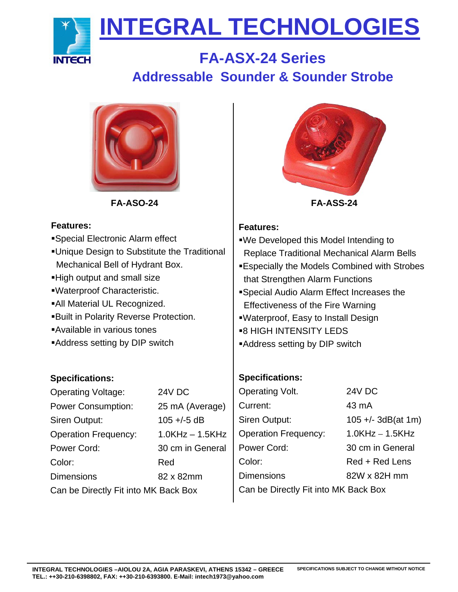

## **FA-ASX-24 Series Addressable Sounder & Sounder Strobe**



#### **Features:**

- Special Electronic Alarm effect Unique Design to Substitute the Traditional
- Mechanical Bell of Hydrant Box.
- High output and small size
- Waterproof Characteristic.
- All Material UL Recognized.
- Built in Polarity Reverse Protection.
- Available in various tones
- Address setting by DIP switch

## **Specifications:**

| <b>Operating Voltage:</b>            | 24V DC            |  |
|--------------------------------------|-------------------|--|
| <b>Power Consumption:</b>            | 25 mA (Average)   |  |
| Siren Output:                        | $105 + (-5)$ dB   |  |
| <b>Operation Frequency:</b>          | $1.0KHz - 1.5KHz$ |  |
| Power Cord:                          | 30 cm in General  |  |
| Color:                               | Red               |  |
| <b>Dimensions</b>                    | 82 x 82mm         |  |
| Can be Directly Fit into MK Back Box |                   |  |



## **Features:**

- We Developed this Model Intending to Replace Traditional Mechanical Alarm Bells
- Especially the Models Combined with Strobes that Strengthen Alarm Functions
- Special Audio Alarm Effect Increases the Effectiveness of the Fire Warning
- Waterproof, Easy to Install Design
- **B HIGH INTENSITY LEDS**
- Address setting by DIP switch

## **Specifications:**

| Operating Volt.                      | 24V DC               |  |
|--------------------------------------|----------------------|--|
| Current:                             | 43 mA                |  |
| Siren Output:                        | $105 +/- 3dB(at 1m)$ |  |
| <b>Operation Frequency:</b>          | $1.0$ KHz $-1.5$ KHz |  |
| Power Cord:                          | 30 cm in General     |  |
| Color:                               | Red + Red Lens       |  |
| <b>Dimensions</b>                    | 82W x 82H mm         |  |
| Can be Directly Fit into MK Back Box |                      |  |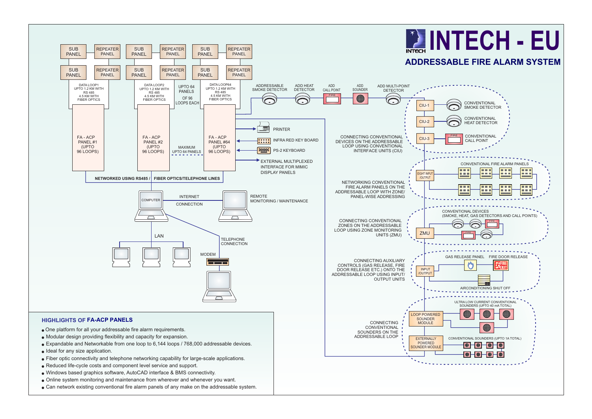